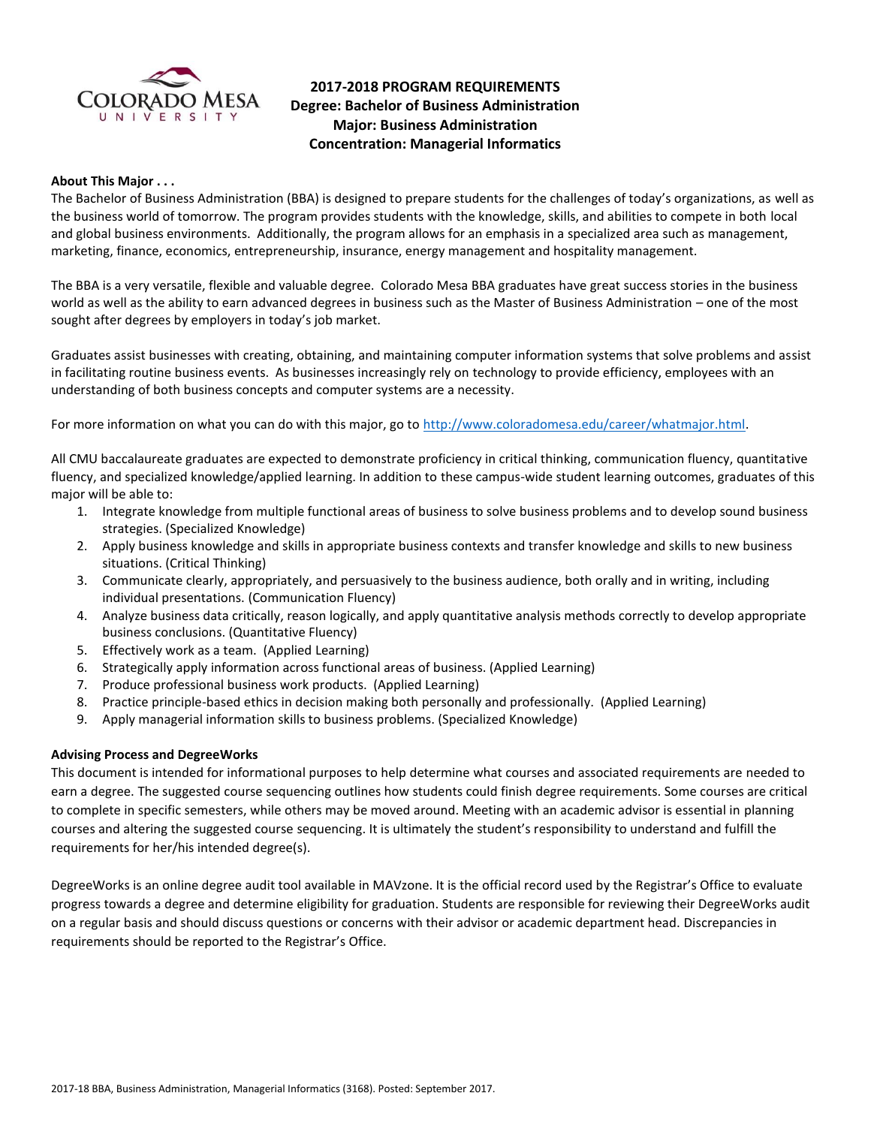

# **2017-2018 PROGRAM REQUIREMENTS Degree: Bachelor of Business Administration Major: Business Administration Concentration: Managerial Informatics**

#### **About This Major . . .**

The Bachelor of Business Administration (BBA) is designed to prepare students for the challenges of today's organizations, as well as the business world of tomorrow. The program provides students with the knowledge, skills, and abilities to compete in both local and global business environments. Additionally, the program allows for an emphasis in a specialized area such as management, marketing, finance, economics, entrepreneurship, insurance, energy management and hospitality management.

The BBA is a very versatile, flexible and valuable degree. Colorado Mesa BBA graduates have great success stories in the business world as well as the ability to earn advanced degrees in business such as the Master of Business Administration – one of the most sought after degrees by employers in today's job market.

Graduates assist businesses with creating, obtaining, and maintaining computer information systems that solve problems and assist in facilitating routine business events. As businesses increasingly rely on technology to provide efficiency, employees with an understanding of both business concepts and computer systems are a necessity.

For more information on what you can do with this major, go to [http://www.coloradomesa.edu/career/whatmajor.html.](http://www.coloradomesa.edu/career/whatmajor.html)

All CMU baccalaureate graduates are expected to demonstrate proficiency in critical thinking, communication fluency, quantitative fluency, and specialized knowledge/applied learning. In addition to these campus-wide student learning outcomes, graduates of this major will be able to:

- 1. Integrate knowledge from multiple functional areas of business to solve business problems and to develop sound business strategies. (Specialized Knowledge)
- 2. Apply business knowledge and skills in appropriate business contexts and transfer knowledge and skills to new business situations. (Critical Thinking)
- 3. Communicate clearly, appropriately, and persuasively to the business audience, both orally and in writing, including individual presentations. (Communication Fluency)
- 4. Analyze business data critically, reason logically, and apply quantitative analysis methods correctly to develop appropriate business conclusions. (Quantitative Fluency)
- 5. Effectively work as a team. (Applied Learning)
- 6. Strategically apply information across functional areas of business. (Applied Learning)
- 7. Produce professional business work products. (Applied Learning)
- 8. Practice principle-based ethics in decision making both personally and professionally. (Applied Learning)
- 9. Apply managerial information skills to business problems. (Specialized Knowledge)

### **Advising Process and DegreeWorks**

This document is intended for informational purposes to help determine what courses and associated requirements are needed to earn a degree. The suggested course sequencing outlines how students could finish degree requirements. Some courses are critical to complete in specific semesters, while others may be moved around. Meeting with an academic advisor is essential in planning courses and altering the suggested course sequencing. It is ultimately the student's responsibility to understand and fulfill the requirements for her/his intended degree(s).

DegreeWorks is an online degree audit tool available in MAVzone. It is the official record used by the Registrar's Office to evaluate progress towards a degree and determine eligibility for graduation. Students are responsible for reviewing their DegreeWorks audit on a regular basis and should discuss questions or concerns with their advisor or academic department head. Discrepancies in requirements should be reported to the Registrar's Office.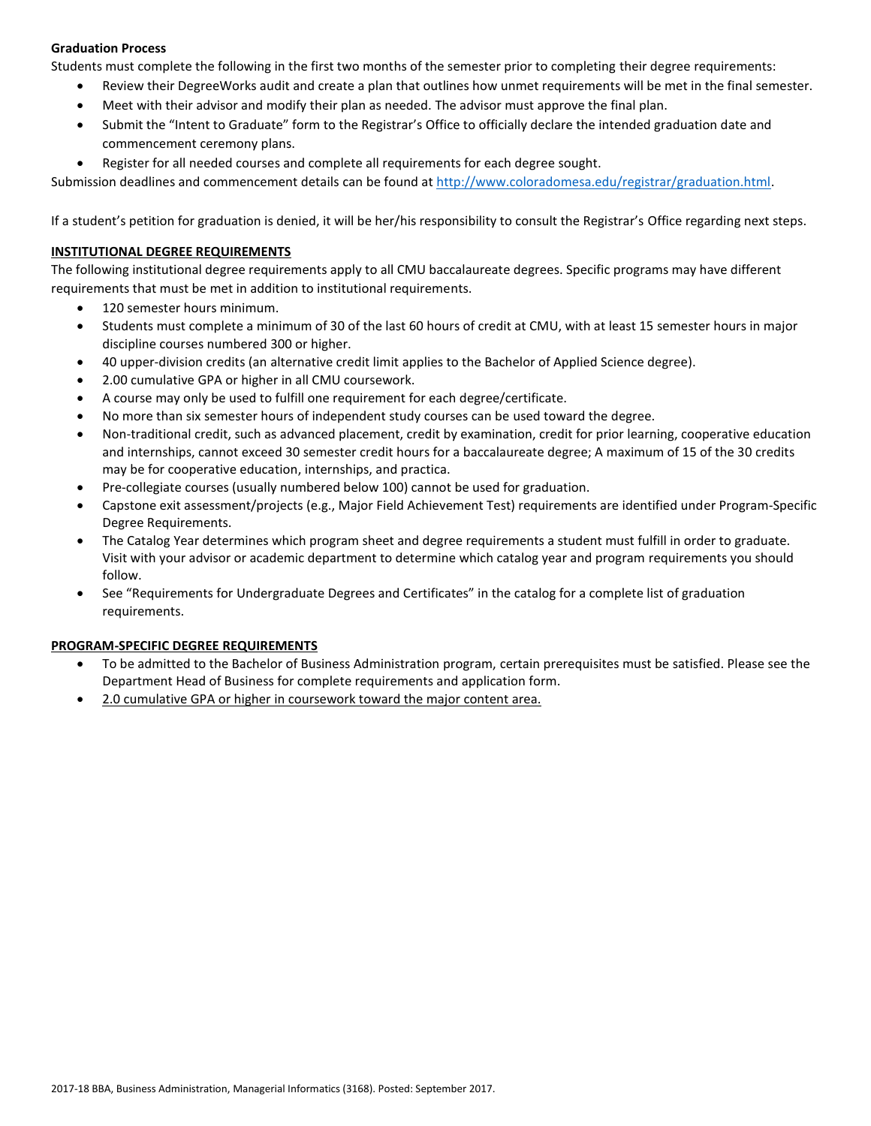# **Graduation Process**

Students must complete the following in the first two months of the semester prior to completing their degree requirements:

- Review their DegreeWorks audit and create a plan that outlines how unmet requirements will be met in the final semester.
- Meet with their advisor and modify their plan as needed. The advisor must approve the final plan.
- Submit the "Intent to Graduate" form to the Registrar's Office to officially declare the intended graduation date and commencement ceremony plans.
- Register for all needed courses and complete all requirements for each degree sought.

Submission deadlines and commencement details can be found at [http://www.coloradomesa.edu/registrar/graduation.html.](http://www.coloradomesa.edu/registrar/graduation.html)

If a student's petition for graduation is denied, it will be her/his responsibility to consult the Registrar's Office regarding next steps.

### **INSTITUTIONAL DEGREE REQUIREMENTS**

The following institutional degree requirements apply to all CMU baccalaureate degrees. Specific programs may have different requirements that must be met in addition to institutional requirements.

- 120 semester hours minimum.
- Students must complete a minimum of 30 of the last 60 hours of credit at CMU, with at least 15 semester hours in major discipline courses numbered 300 or higher.
- 40 upper-division credits (an alternative credit limit applies to the Bachelor of Applied Science degree).
- 2.00 cumulative GPA or higher in all CMU coursework.
- A course may only be used to fulfill one requirement for each degree/certificate.
- No more than six semester hours of independent study courses can be used toward the degree.
- Non-traditional credit, such as advanced placement, credit by examination, credit for prior learning, cooperative education and internships, cannot exceed 30 semester credit hours for a baccalaureate degree; A maximum of 15 of the 30 credits may be for cooperative education, internships, and practica.
- Pre-collegiate courses (usually numbered below 100) cannot be used for graduation.
- Capstone exit assessment/projects (e.g., Major Field Achievement Test) requirements are identified under Program-Specific Degree Requirements.
- The Catalog Year determines which program sheet and degree requirements a student must fulfill in order to graduate. Visit with your advisor or academic department to determine which catalog year and program requirements you should follow.
- See "Requirements for Undergraduate Degrees and Certificates" in the catalog for a complete list of graduation requirements.

# **PROGRAM-SPECIFIC DEGREE REQUIREMENTS**

- To be admitted to the Bachelor of Business Administration program, certain prerequisites must be satisfied. Please see the Department Head of Business for complete requirements and application form.
- 2.0 cumulative GPA or higher in coursework toward the major content area.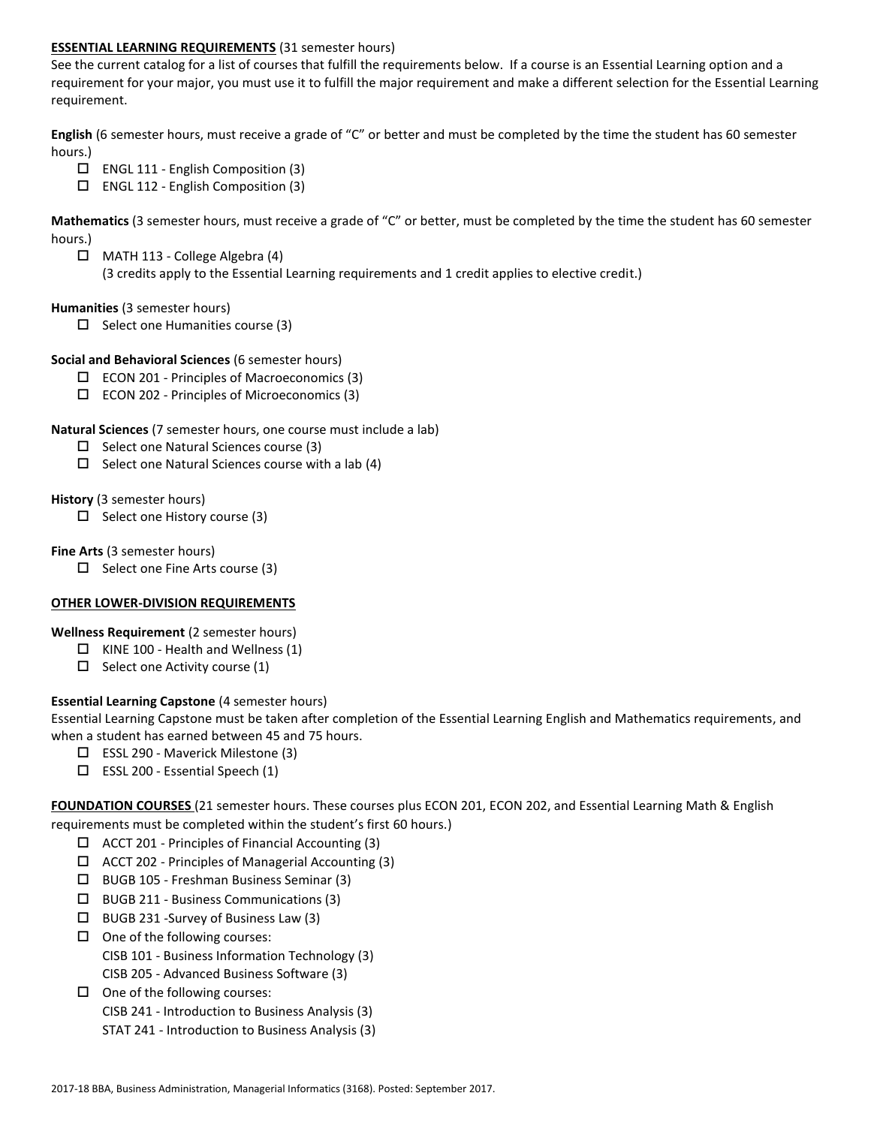### **ESSENTIAL LEARNING REQUIREMENTS** (31 semester hours)

See the current catalog for a list of courses that fulfill the requirements below. If a course is an Essential Learning option and a requirement for your major, you must use it to fulfill the major requirement and make a different selection for the Essential Learning requirement.

**English** (6 semester hours, must receive a grade of "C" or better and must be completed by the time the student has 60 semester hours.)

- $\Box$  ENGL 111 English Composition (3)
- $\Box$  ENGL 112 English Composition (3)

**Mathematics** (3 semester hours, must receive a grade of "C" or better, must be completed by the time the student has 60 semester hours.)

 MATH 113 - College Algebra (4) (3 credits apply to the Essential Learning requirements and 1 credit applies to elective credit.)

### **Humanities** (3 semester hours)

 $\Box$  Select one Humanities course (3)

### **Social and Behavioral Sciences** (6 semester hours)

- $\Box$  ECON 201 Principles of Macroeconomics (3)
- ECON 202 Principles of Microeconomics (3)

### **Natural Sciences** (7 semester hours, one course must include a lab)

- $\Box$  Select one Natural Sciences course (3)
- $\Box$  Select one Natural Sciences course with a lab (4)

### **History** (3 semester hours)

 $\Box$  Select one History course (3)

### **Fine Arts** (3 semester hours)

 $\Box$  Select one Fine Arts course (3)

# **OTHER LOWER-DIVISION REQUIREMENTS**

# **Wellness Requirement** (2 semester hours)

- $\Box$  KINE 100 Health and Wellness (1)
- $\Box$  Select one Activity course (1)

# **Essential Learning Capstone** (4 semester hours)

Essential Learning Capstone must be taken after completion of the Essential Learning English and Mathematics requirements, and when a student has earned between 45 and 75 hours.

- $\Box$  ESSL 290 Maverick Milestone (3)
- $\square$  ESSL 200 Essential Speech (1)

**FOUNDATION COURSES** (21 semester hours. These courses plus ECON 201, ECON 202, and Essential Learning Math & English requirements must be completed within the student's first 60 hours.)

- $\Box$  ACCT 201 Principles of Financial Accounting (3)
- $\Box$  ACCT 202 Principles of Managerial Accounting (3)
- BUGB 105 Freshman Business Seminar (3)
- BUGB 211 Business Communications (3)
- $\Box$  BUGB 231 -Survey of Business Law (3)
- $\Box$  One of the following courses: CISB 101 - Business Information Technology (3) CISB 205 - Advanced Business Software (3)
- $\Box$  One of the following courses:
	- CISB 241 Introduction to Business Analysis (3)
	- STAT 241 Introduction to Business Analysis (3)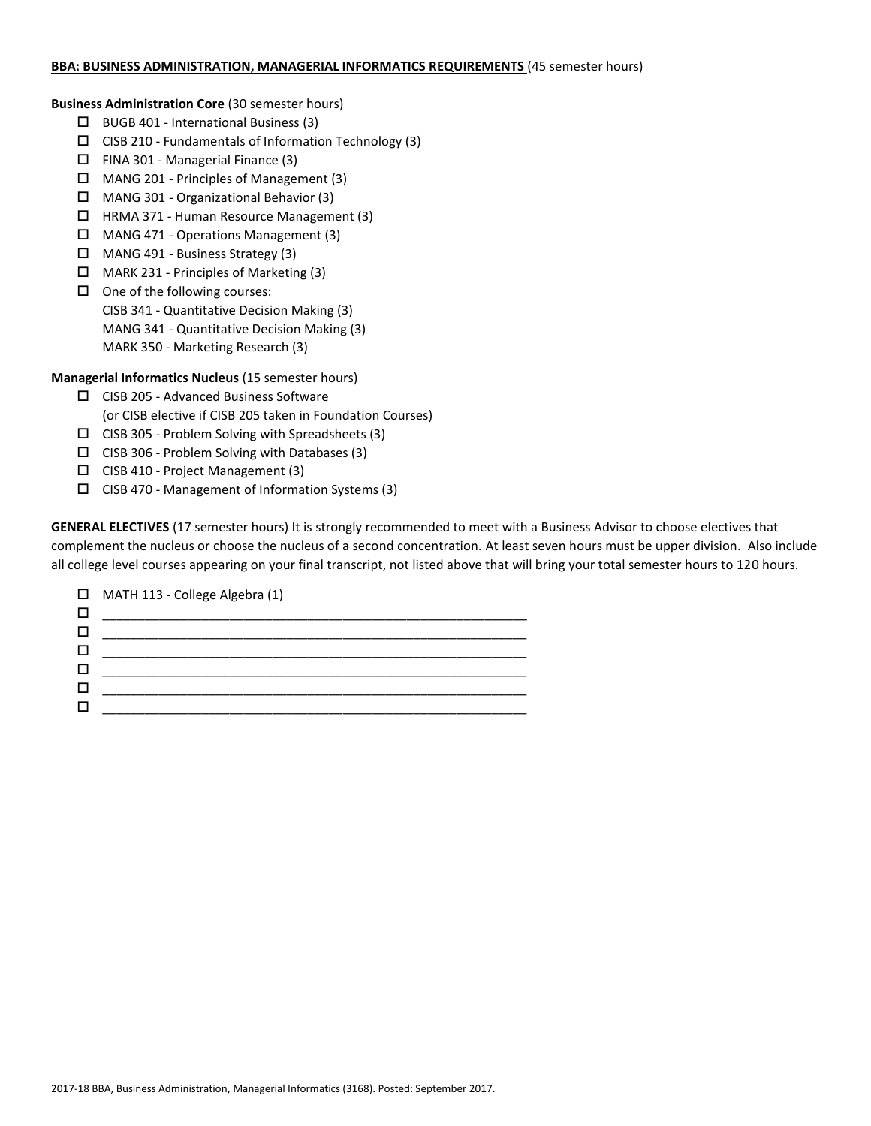### **BBA: BUSINESS ADMINISTRATION, MANAGERIAL INFORMATICS REQUIREMENTS** (45 semester hours)

**Business Administration Core** (30 semester hours)

- $\Box$  BUGB 401 International Business (3)
- $\square$  CISB 210 Fundamentals of Information Technology (3)
- $\Box$  FINA 301 Managerial Finance (3)
- MANG 201 Principles of Management (3)
- MANG 301 Organizational Behavior (3)
- HRMA 371 Human Resource Management (3)
- MANG 471 Operations Management (3)
- MANG 491 Business Strategy (3)
- MARK 231 Principles of Marketing (3)
- $\Box$  One of the following courses: CISB 341 - Quantitative Decision Making (3) MANG 341 - Quantitative Decision Making (3) MARK 350 - Marketing Research (3)

**Managerial Informatics Nucleus** (15 semester hours)

- CISB 205 Advanced Business Software (or CISB elective if CISB 205 taken in Foundation Courses)
- $\square$  CISB 305 Problem Solving with Spreadsheets (3)
- $\Box$  CISB 306 Problem Solving with Databases (3)
- $\Box$  CISB 410 Project Management (3)
- $\square$  CISB 470 Management of Information Systems (3)

**GENERAL ELECTIVES** (17 semester hours) It is strongly recommended to meet with a Business Advisor to choose electives that complement the nucleus or choose the nucleus of a second concentration. At least seven hours must be upper division. Also include all college level courses appearing on your final transcript, not listed above that will bring your total semester hours to 120 hours.